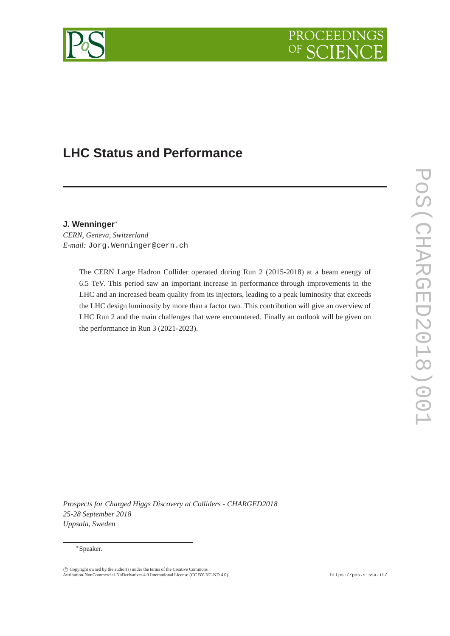

# **LHC Status and Performance**

## **J. Wenninger**<sup>∗</sup>

*CERN, Geneva, Switzerland E-mail:* Jorg.Wenninger@cern.ch

> The CERN Large Hadron Collider operated during Run 2 (2015-2018) at a beam energy of 6.5 TeV. This period saw an important increase in performance through improvements in the LHC and an increased beam quality from its injectors, leading to a peak luminosity that exceeds the LHC design luminosity by more than a factor two. This contribution will give an overview of LHC Run 2 and the main challenges that were encountered. Finally an outlook will be given on the performance in Run 3 (2021-2023).

*Prospects for Charged Higgs Discovery at Colliders - CHARGED2018 25-28 September 2018 Uppsala, Sweden*

#### <sup>∗</sup>Speaker.

c Copyright owned by the author(s) under the terms of the Creative Commons Attribution-NonCommercial-NoDerivatives 4.0 International License (CC BY-NC-ND 4.0). https://pos.sissa.it/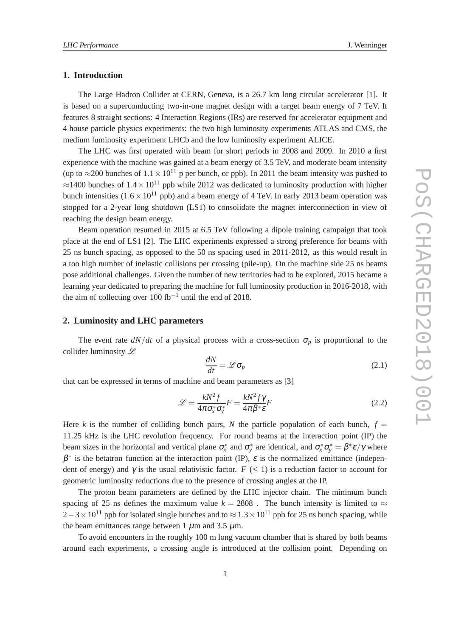## **1. Introduction**

The Large Hadron Collider at CERN, Geneva, is a 26.7 km long circular accelerator [1]. It is based on a superconducting two-in-one magnet design with a target beam energy of 7 TeV. It features 8 straight sections: 4 Interaction Regions (IRs) are reserved for accelerator equipment and 4 house particle physics experiments: the two high luminosity experiments ATLAS and CMS, the medium luminosity experiment LHCb and the low luminosity experiment ALICE.

The LHC was first operated with beam for short periods in 2008 and 2009. In 2010 a first experience with the machine was gained at a beam energy of 3.5 TeV, and moderate beam intensity (up to ≈200 bunches of  $1.1 \times 10^{11}$  p per bunch, or ppb). In 2011 the beam intensity was pushed to  $\approx$ 1400 bunches of 1.4  $\times$  10<sup>11</sup> ppb while 2012 was dedicated to luminosity production with higher bunch intensities ( $1.6 \times 10^{11}$  ppb) and a beam energy of 4 TeV. In early 2013 beam operation was stopped for a 2-year long shutdown (LS1) to consolidate the magnet interconnection in view of reaching the design beam energy.

Beam operation resumed in 2015 at 6.5 TeV following a dipole training campaign that took place at the end of LS1 [2]. The LHC experiments expressed a strong preference for beams with 25 ns bunch spacing, as opposed to the 50 ns spacing used in 2011-2012, as this would result in a too high number of inelastic collisions per crossing (pile-up). On the machine side 25 ns beams pose additional challenges. Given the number of new territories had to be explored, 2015 became a learning year dedicated to preparing the machine for full luminosity production in 2016-2018, with the aim of collecting over 100 fb<sup>-1</sup> until the end of 2018.

#### **2. Luminosity and LHC parameters**

The event rate  $dN/dt$  of a physical process with a cross-section  $\sigma_p$  is proportional to the collider luminosity  $\mathscr L$ 

$$
\frac{dN}{dt} = \mathcal{L}\sigma_p \tag{2.1}
$$

that can be expressed in terms of machine and beam parameters as [3]

$$
\mathcal{L} = \frac{kN^2 f}{4\pi \sigma_x^* \sigma_y^*} F = \frac{kN^2 f \gamma}{4\pi \beta^* \varepsilon} F
$$
\n(2.2)

Here *k* is the number of colliding bunch pairs, *N* the particle population of each bunch,  $f =$ 11.25 kHz is the LHC revolution frequency. For round beams at the interaction point (IP) the beam sizes in the horizontal and vertical plane  $\sigma_x^*$  and  $\sigma_y^*$  are identical, and  $\sigma_x^* \sigma_y^* = \beta^* \varepsilon / \gamma$  where  $\beta^*$  is the betatron function at the interaction point (IP),  $\varepsilon$  is the normalized emittance (independent of energy) and  $\gamma$  is the usual relativistic factor.  $F \leq 1$  is a reduction factor to account for geometric luminosity reductions due to the presence of crossing angles at the IP.

The proton beam parameters are defined by the LHC injector chain. The minimum bunch spacing of 25 ns defines the maximum value  $k = 2808$ . The bunch intensity is limited to  $\approx$  $2-3\times10^{11}$  ppb for isolated single bunches and to  $\approx 1.3\times10^{11}$  ppb for 25 ns bunch spacing, while the beam emittances range between 1  $\mu$ m and 3.5  $\mu$ m.

To avoid encounters in the roughly 100 m long vacuum chamber that is shared by both beams around each experiments, a crossing angle is introduced at the collision point. Depending on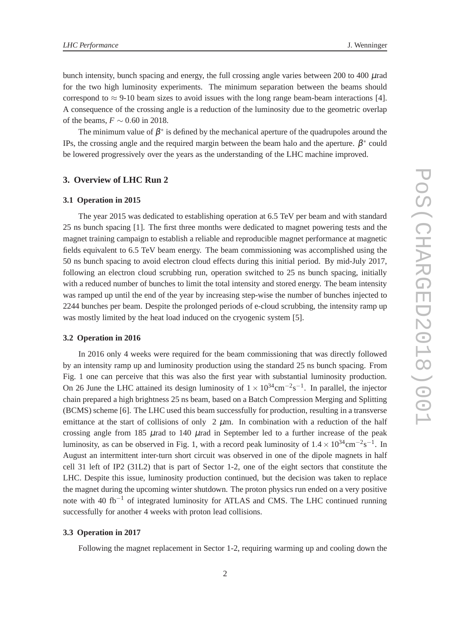bunch intensity, bunch spacing and energy, the full crossing angle varies between 200 to 400  $\mu$ rad for the two high luminosity experiments. The minimum separation between the beams should correspond to  $\approx$  9-10 beam sizes to avoid issues with the long range beam-beam interactions [4]. A consequence of the crossing angle is a reduction of the luminosity due to the geometric overlap of the beams,  $F \sim 0.60$  in 2018.

The minimum value of  $\beta^*$  is defined by the mechanical aperture of the quadrupoles around the IPs, the crossing angle and the required margin between the beam halo and the aperture.  $\beta^*$  could be lowered progressively over the years as the understanding of the LHC machine improved.

## **3. Overview of LHC Run 2**

#### **3.1 Operation in 2015**

The year 2015 was dedicated to establishing operation at 6.5 TeV per beam and with standard 25 ns bunch spacing [1]. The first three months were dedicated to magnet powering tests and the magnet training campaign to establish a reliable and reproducible magnet performance at magnetic fields equivalent to 6.5 TeV beam energy. The beam commissioning was accomplished using the 50 ns bunch spacing to avoid electron cloud effects during this initial period. By mid-July 2017, following an electron cloud scrubbing run, operation switched to 25 ns bunch spacing, initially with a reduced number of bunches to limit the total intensity and stored energy. The beam intensity was ramped up until the end of the year by increasing step-wise the number of bunches injected to 2244 bunches per beam. Despite the prolonged periods of e-cloud scrubbing, the intensity ramp up was mostly limited by the heat load induced on the cryogenic system [5].

#### **3.2 Operation in 2016**

In 2016 only 4 weeks were required for the beam commissioning that was directly followed by an intensity ramp up and luminosity production using the standard 25 ns bunch spacing. From Fig. 1 one can perceive that this was also the first year with substantial luminosity production. On 26 June the LHC attained its design luminosity of  $1 \times 10^{34}$ cm<sup>-2</sup>s<sup>-1</sup>. In parallel, the injector chain prepared a high brightness 25 ns beam, based on a Batch Compression Merging and Splitting (BCMS) scheme [6]. The LHC used this beam successfully for production, resulting in a transverse emittance at the start of collisions of only  $2 \mu$ m. In combination with a reduction of the half crossing angle from 185  $\mu$ rad to 140  $\mu$ rad in September led to a further increase of the peak luminosity, as can be observed in Fig. 1, with a record peak luminosity of  $1.4 \times 10^{34}$ cm<sup>-2</sup>s<sup>-1</sup>. In August an intermittent inter-turn short circuit was observed in one of the dipole magnets in half cell 31 left of IP2 (31L2) that is part of Sector 1-2, one of the eight sectors that constitute the LHC. Despite this issue, luminosity production continued, but the decision was taken to replace the magnet during the upcoming winter shutdown. The proton physics run ended on a very positive note with 40 fb<sup>-1</sup> of integrated luminosity for ATLAS and CMS. The LHC continued running successfully for another 4 weeks with proton lead collisions.

## **3.3 Operation in 2017**

Following the magnet replacement in Sector 1-2, requiring warming up and cooling down the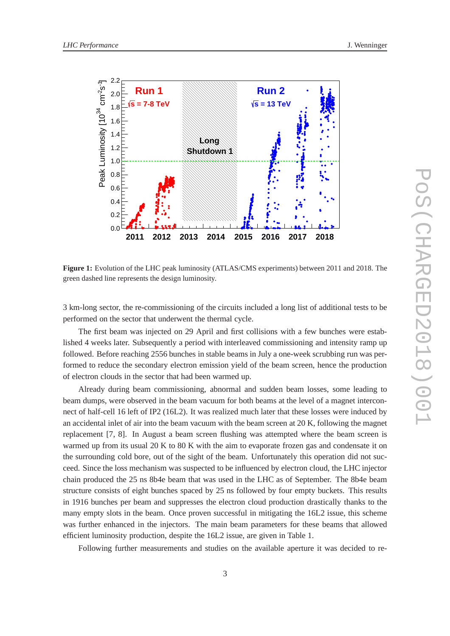

**Figure 1:** Evolution of the LHC peak luminosity (ATLAS/CMS experiments) between 2011 and 2018. The green dashed line represents the design luminosity.

3 km-long sector, the re-commissioning of the circuits included a long list of additional tests to be performed on the sector that underwent the thermal cycle.

The first beam was injected on 29 April and first collisions with a few bunches were established 4 weeks later. Subsequently a period with interleaved commissioning and intensity ramp up followed. Before reaching 2556 bunches in stable beams in July a one-week scrubbing run was performed to reduce the secondary electron emission yield of the beam screen, hence the production of electron clouds in the sector that had been warmed up.

Already during beam commissioning, abnormal and sudden beam losses, some leading to beam dumps, were observed in the beam vacuum for both beams at the level of a magnet interconnect of half-cell 16 left of IP2 (16L2). It was realized much later that these losses were induced by an accidental inlet of air into the beam vacuum with the beam screen at 20 K, following the magnet replacement [7, 8]. In August a beam screen flushing was attempted where the beam screen is warmed up from its usual 20 K to 80 K with the aim to evaporate frozen gas and condensate it on the surrounding cold bore, out of the sight of the beam. Unfortunately this operation did not succeed. Since the loss mechanism was suspected to be influenced by electron cloud, the LHC injector chain produced the 25 ns 8b4e beam that was used in the LHC as of September. The 8b4e beam structure consists of eight bunches spaced by 25 ns followed by four empty buckets. This results in 1916 bunches per beam and suppresses the electron cloud production drastically thanks to the many empty slots in the beam. Once proven successful in mitigating the 16L2 issue, this scheme was further enhanced in the injectors. The main beam parameters for these beams that allowed efficient luminosity production, despite the 16L2 issue, are given in Table 1.

Following further measurements and studies on the available aperture it was decided to re-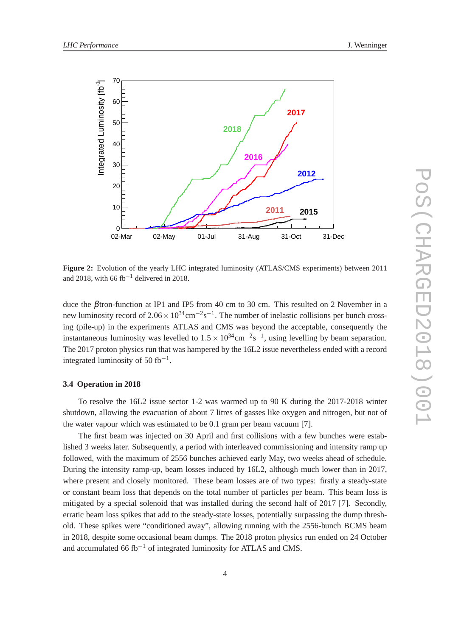

**Figure 2:** Evolution of the yearly LHC integrated luminosity (ATLAS/CMS experiments) between 2011 and 2018, with 66 fb<sup>-1</sup> delivered in 2018.

duce the βtron-function at IP1 and IP5 from 40 cm to 30 cm. This resulted on 2 November in a new luminosity record of  $2.06 \times 10^{34}$ cm<sup>-2</sup>s<sup>-1</sup>. The number of inelastic collisions per bunch crossing (pile-up) in the experiments ATLAS and CMS was beyond the acceptable, consequently the instantaneous luminosity was levelled to  $1.5 \times 10^{34}$ cm<sup>-2</sup>s<sup>-1</sup>, using levelling by beam separation. The 2017 proton physics run that was hampered by the 16L2 issue nevertheless ended with a record integrated luminosity of 50 fb<sup>-1</sup>.

#### **3.4 Operation in 2018**

To resolve the 16L2 issue sector 1-2 was warmed up to 90 K during the 2017-2018 winter shutdown, allowing the evacuation of about 7 litres of gasses like oxygen and nitrogen, but not of the water vapour which was estimated to be 0.1 gram per beam vacuum [7].

The first beam was injected on 30 April and first collisions with a few bunches were established 3 weeks later. Subsequently, a period with interleaved commissioning and intensity ramp up followed, with the maximum of 2556 bunches achieved early May, two weeks ahead of schedule. During the intensity ramp-up, beam losses induced by 16L2, although much lower than in 2017, where present and closely monitored. These beam losses are of two types: firstly a steady-state or constant beam loss that depends on the total number of particles per beam. This beam loss is mitigated by a special solenoid that was installed during the second half of 2017 [7]. Secondly, erratic beam loss spikes that add to the steady-state losses, potentially surpassing the dump threshold. These spikes were "conditioned away", allowing running with the 2556-bunch BCMS beam in 2018, despite some occasional beam dumps. The 2018 proton physics run ended on 24 October and accumulated 66 fb<sup>-1</sup> of integrated luminosity for ATLAS and CMS.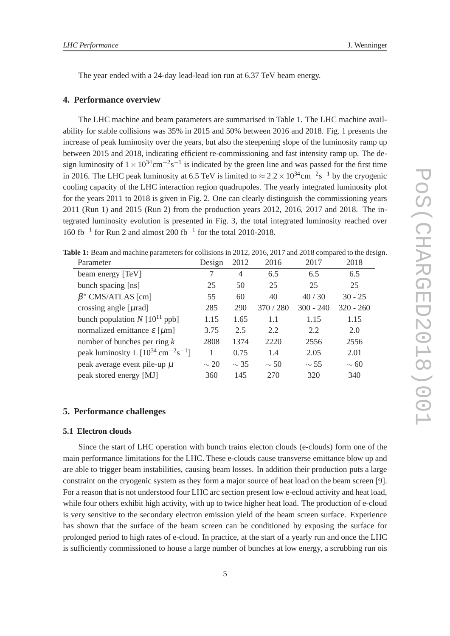The year ended with a 24-day lead-lead ion run at 6.37 TeV beam energy.

## **4. Performance overview**

The LHC machine and beam parameters are summarised in Table 1. The LHC machine availability for stable collisions was 35% in 2015 and 50% between 2016 and 2018. Fig. 1 presents the increase of peak luminosity over the years, but also the steepening slope of the luminosity ramp up between 2015 and 2018, indicating efficient re-commissioning and fast intensity ramp up. The design luminosity of  $1 \times 10^{34}$ cm<sup>-2</sup>s<sup>-1</sup> is indicated by the green line and was passed for the first time in 2016. The LHC peak luminosity at 6.5 TeV is limited to  $\approx 2.2 \times 10^{34}$ cm<sup>-2</sup>s<sup>-1</sup> by the cryogenic cooling capacity of the LHC interaction region quadrupoles. The yearly integrated luminosity plot for the years 2011 to 2018 is given in Fig. 2. One can clearly distinguish the commissioning years 2011 (Run 1) and 2015 (Run 2) from the production years 2012, 2016, 2017 and 2018. The integrated luminosity evolution is presented in Fig. 3, the total integrated luminosity reached over 160 fb−<sup>1</sup> for Run 2 and almost 200 fb−<sup>1</sup> for the total 2010-2018.

**Table 1:** Beam and machine parameters for collisions in 2012, 2016, 2017 and 2018 compared to the design.

| Parameter                                                   | Design    | 2012      | 2016      | 2017        | 2018        |
|-------------------------------------------------------------|-----------|-----------|-----------|-------------|-------------|
| beam energy [TeV]                                           | 7         | 4         | 6.5       | 6.5         | 6.5         |
| bunch spacing [ns]                                          | 25        | 50        | 25        | 25          | 25          |
| $\beta$ * CMS/ATLAS [cm]                                    | 55        | 60        | 40        | 40/30       | $30 - 25$   |
| crossing angle [ $\mu$ rad]                                 | 285       | 290       | 370 / 280 | $300 - 240$ | $320 - 260$ |
| bunch population $N [10^{11}$ ppb]                          | 1.15      | 1.65      | 1.1       | 1.15        | 1.15        |
| normalized emittance $\varepsilon$ [ $\mu$ m]               | 3.75      | 2.5       | 2.2       | 2.2         | 2.0         |
| number of bunches per ring $k$                              | 2808      | 1374      | 2220      | 2556        | 2556        |
| peak luminosity L $[10^{34} \text{ cm}^{-2} \text{s}^{-1}]$ |           | 0.75      | 1.4       | 2.05        | 2.01        |
| peak average event pile-up $\mu$                            | $\sim$ 20 | $\sim$ 35 | $\sim$ 50 | $\sim$ 55   | $\sim$ 60   |
| peak stored energy [MJ]                                     | 360       | 145       | 270       | 320         | 340         |

### **5. Performance challenges**

#### **5.1 Electron clouds**

Since the start of LHC operation with bunch trains electon clouds (e-clouds) form one of the main performance limitations for the LHC. These e-clouds cause transverse emittance blow up and are able to trigger beam instabilities, causing beam losses. In addition their production puts a large constraint on the cryogenic system as they form a major source of heat load on the beam screen [9]. For a reason that is not understood four LHC arc section present low e-ecloud activity and heat load, while four others exhibit high activity, with up to twice higher heat load. The production of e-cloud is very sensitive to the secondary electron emission yield of the beam screen surface. Experience has shown that the surface of the beam screen can be conditioned by exposing the surface for prolonged period to high rates of e-cloud. In practice, at the start of a yearly run and once the LHC is sufficiently commissioned to house a large number of bunches at low energy, a scrubbing run ois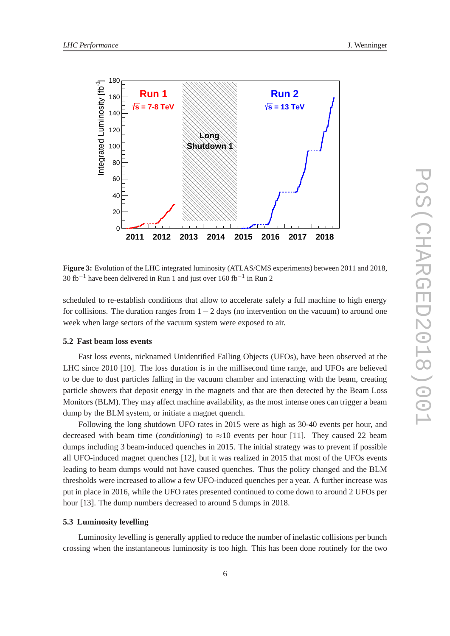

**Figure 3:** Evolution of the LHC integrated luminosity (ATLAS/CMS experiments) between 2011 and 2018, 30 fb<sup>-1</sup> have been delivered in Run 1 and just over 160 fb<sup>-1</sup> in Run 2

scheduled to re-establish conditions that allow to accelerate safely a full machine to high energy for collisions. The duration ranges from  $1-2$  days (no intervention on the vacuum) to around one week when large sectors of the vacuum system were exposed to air.

## **5.2 Fast beam loss events**

Fast loss events, nicknamed Unidentified Falling Objects (UFOs), have been observed at the LHC since 2010 [10]. The loss duration is in the millisecond time range, and UFOs are believed to be due to dust particles falling in the vacuum chamber and interacting with the beam, creating particle showers that deposit energy in the magnets and that are then detected by the Beam Loss Monitors (BLM). They may affect machine availability, as the most intense ones can trigger a beam dump by the BLM system, or initiate a magnet quench.

Following the long shutdown UFO rates in 2015 were as high as 30-40 events per hour, and decreased with beam time *(conditioning*) to  $\approx$ 10 events per hour [11]. They caused 22 beam dumps including 3 beam-induced quenches in 2015. The initial strategy was to prevent if possible all UFO-induced magnet quenches [12], but it was realized in 2015 that most of the UFOs events leading to beam dumps would not have caused quenches. Thus the policy changed and the BLM thresholds were increased to allow a few UFO-induced quenches per a year. A further increase was put in place in 2016, while the UFO rates presented continued to come down to around 2 UFOs per hour [13]. The dump numbers decreased to around 5 dumps in 2018.

#### **5.3 Luminosity levelling**

Luminosity levelling is generally applied to reduce the number of inelastic collisions per bunch crossing when the instantaneous luminosity is too high. This has been done routinely for the two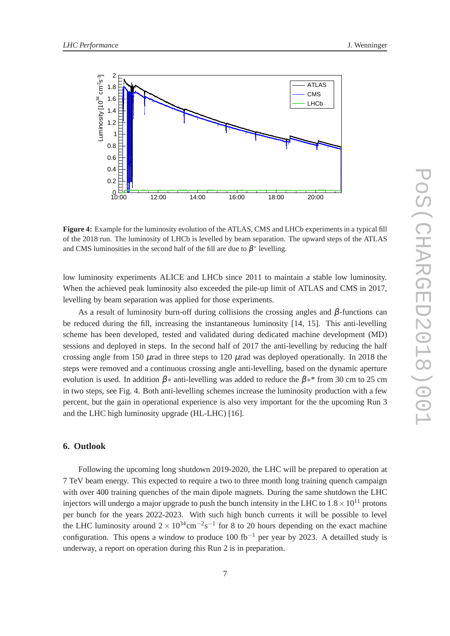

**Figure 4:** Example for the luminosity evolution of the ATLAS, CMS and LHCb experiments in a typical fill of the 2018 run. The luminosity of LHCb is levelled by beam separation. The upward steps of the ATLAS and CMS luminosities in the second half of the fill are due to  $\beta^*$  levelling.

low luminosity experiments ALICE and LHCb since 2011 to maintain a stable low luminosity. When the achieved peak luminosity also exceeded the pile-up limit of ATLAS and CMS in 2017, levelling by beam separation was applied for those experiments.

As a result of luminosity burn-off during collisions the crossing angles and  $\beta$ -functions can be reduced during the fill, increasing the instantaneous luminosity [14, 15]. This anti-levelling scheme has been developed, tested and validated during dedicated machine development (MD) sessions and deployed in steps. In the second half of 2017 the anti-levelling by reducing the half crossing angle from 150  $\mu$ rad in three steps to 120  $\mu$ rad was deployed operationally. In 2018 the steps were removed and a continuous crossing angle anti-levelling, based on the dynamic aperture evolution is used. In addition  $\beta$ \* anti-levelling was added to reduce the  $\beta$ \* from 30 cm to 25 cm in two steps, see Fig. 4. Both anti-levelling schemes increase the luminosity production with a few percent, but the gain in operational experience is also very important for the the upcoming Run 3 and the LHC high luminosity upgrade (HL-LHC) [16].

## **6. Outlook**

Following the upcoming long shutdown 2019-2020, the LHC will be prepared to operation at 7 TeV beam energy. This expected to require a two to three month long training quench campaign with over 400 training quenches of the main dipole magnets. During the same shutdown the LHC injectors will undergo a major upgrade to push the bunch intensity in the LHC to  $1.8 \times 10^{11}$  protons per bunch for the years 2022-2023. With such high bunch currents it will be possible to level the LHC luminosity around  $2 \times 10^{34}$ cm<sup>-2</sup>s<sup>-1</sup> for 8 to 20 hours depending on the exact machine configuration. This opens a window to produce 100 fb<sup>-1</sup> per year by 2023. A detailled study is underway, a report on operation during this Run 2 is in preparation.